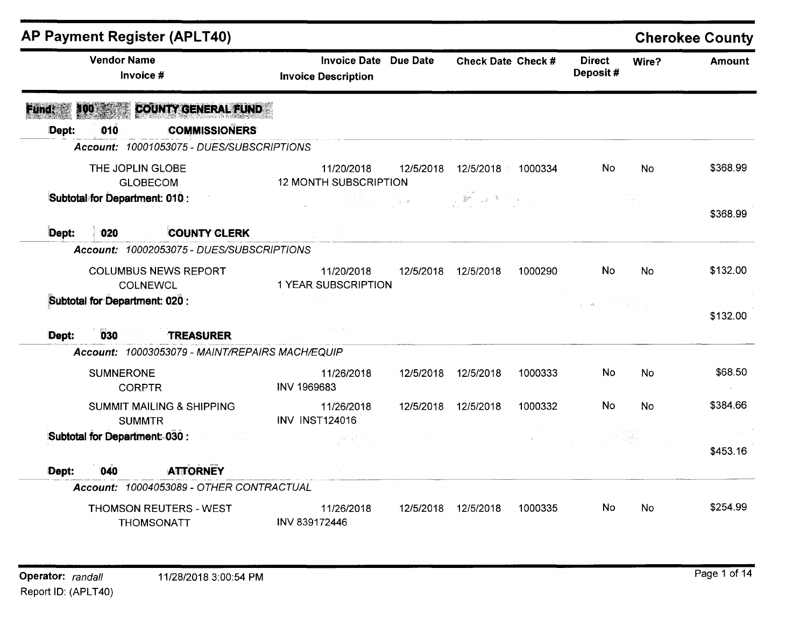|              |                                | <b>AP Payment Register (APLT40)</b>                   |                                                   |                                                             |                    |         |                           |                                      | <b>Cherokee County</b> |
|--------------|--------------------------------|-------------------------------------------------------|---------------------------------------------------|-------------------------------------------------------------|--------------------|---------|---------------------------|--------------------------------------|------------------------|
|              | <b>Vendor Name</b>             | Invoice #                                             | <b>Invoice Date</b><br><b>Invoice Description</b> | <b>Due Date</b>                                             | Check Date Check # |         | <b>Direct</b><br>Deposit# | Wire?                                | <b>Amount</b>          |
| <b>Fundt</b> | 400                            | <b>COUNTY GENERAL FUND</b>                            |                                                   |                                                             |                    |         |                           |                                      |                        |
| Dept:        | 010                            | <b>COMMISSIONERS</b>                                  |                                                   |                                                             |                    |         |                           |                                      |                        |
|              |                                | Account: 10001053075 - DUES/SUBSCRIPTIONS             |                                                   |                                                             |                    |         |                           |                                      |                        |
|              | THE JOPLIN GLOBE               | <b>GLOBECOM</b>                                       | 11/20/2018<br><b>12 MONTH SUBSCRIPTION</b>        | 12/5/2018                                                   | 12/5/2018          | 1000334 | <b>No</b>                 | <b>No</b>                            | \$368.99               |
|              | Subtotal for Department: 010 : |                                                       |                                                   | $\mathcal{L}=\frac{1}{2}\left(\mathbf{x}+\mathbf{0}\right)$ |                    |         |                           | $\mathcal{V}^{\perp}_{\mathrm{int}}$ | \$368.99               |
| Dept:        | 020                            | <b>COUNTY CLERK</b>                                   |                                                   |                                                             |                    |         |                           |                                      |                        |
|              |                                | Account: 10002053075 - DUES/SUBSCRIPTIONS             |                                                   |                                                             |                    |         |                           |                                      |                        |
|              |                                | <b>COLUMBUS NEWS REPORT</b><br><b>COLNEWCL</b>        | 11/20/2018<br>1 YEAR SUBSCRIPTION                 | 12/5/2018                                                   | 12/5/2018          | 1000290 | <b>No</b>                 | <b>No</b>                            | \$132.00               |
|              | Subtotal for Department: 020 : |                                                       |                                                   |                                                             |                    |         | $\zeta = 1.2\zeta$        |                                      | \$132.00               |
| Dept:        | 030                            | <b>TREASURER</b>                                      |                                                   |                                                             |                    |         |                           |                                      |                        |
|              |                                | Account: 10003053079 - MAINT/REPAIRS MACH/EQUIP       |                                                   |                                                             |                    |         |                           |                                      |                        |
|              | <b>SUMNERONE</b>               | <b>CORPTR</b>                                         | 11/26/2018<br><b>INV 1969683</b>                  | 12/5/2018                                                   | 12/5/2018          | 1000333 | No                        | <b>No</b>                            | \$68.50                |
|              |                                | <b>SUMMIT MAILING &amp; SHIPPING</b><br><b>SUMMTR</b> | 11/26/2018<br><b>INV INST124016</b>               | 12/5/2018                                                   | 12/5/2018          | 1000332 | <b>No</b>                 | <b>No</b>                            | \$384.66               |
|              | Subtotal for Department 030 :  |                                                       | ya Kar                                            |                                                             |                    |         |                           |                                      | \$453.16               |
| Dept:        | 040                            | <b>ATTORNEY</b>                                       |                                                   |                                                             |                    |         |                           |                                      |                        |
|              |                                | Account: 10004053089 - OTHER CONTRACTUAL              |                                                   |                                                             |                    |         |                           |                                      |                        |
|              |                                | THOMSON REUTERS - WEST<br><b>THOMSONATT</b>           | 11/26/2018<br>INV 839172446                       | 12/5/2018                                                   | 12/5/2018          | 1000335 | No                        | No                                   | \$254.99               |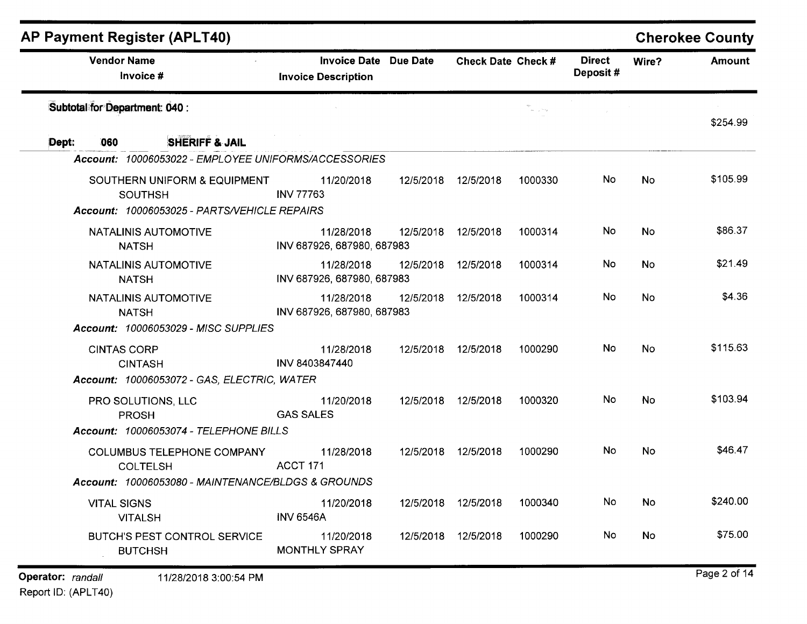| <b>Vendor Name</b>                                    | <b>Invoice Date Due Date</b>             |           | Check Date Check #  |                           | <b>Direct</b> | Wire?     | <b>Amount</b> |
|-------------------------------------------------------|------------------------------------------|-----------|---------------------|---------------------------|---------------|-----------|---------------|
| Invoice #                                             | <b>Invoice Description</b>               |           |                     |                           | Deposit#      |           |               |
| Subtotal for Department: 040 :                        |                                          |           |                     | $\omega_{\rm{max}} = 100$ |               |           | \$254.99      |
| <b>SHERIFF &amp; JAIL</b><br>060<br>Dept:             |                                          |           |                     |                           |               |           |               |
| Account: 10006053022 - EMPLOYEE UNIFORMS/ACCESSORIES  |                                          |           |                     |                           |               |           |               |
| SOUTHERN UNIFORM & EQUIPMENT<br><b>SOUTHSH</b>        | 11/20/2018<br><b>INV 77763</b>           | 12/5/2018 | 12/5/2018           | 1000330                   | No            | <b>No</b> | \$105.99      |
| Account: 10006053025 - PARTS/VEHICLE REPAIRS          |                                          |           |                     |                           |               |           |               |
| NATALINIS AUTOMOTIVE<br><b>NATSH</b>                  | 11/28/2018<br>INV 687926, 687980, 687983 | 12/5/2018 | 12/5/2018           | 1000314                   | No            | <b>No</b> | \$86.37       |
| NATALINIS AUTOMOTIVE<br><b>NATSH</b>                  | 11/28/2018<br>INV 687926, 687980, 687983 | 12/5/2018 | 12/5/2018           | 1000314                   | No.           | <b>No</b> | \$21.49       |
| NATALINIS AUTOMOTIVE<br><b>NATSH</b>                  | 11/28/2018<br>INV 687926, 687980, 687983 | 12/5/2018 | 12/5/2018           | 1000314                   | No.           | No.       | \$4.36        |
| <b>Account: 10006053029 - MISC SUPPLIES</b>           |                                          |           |                     |                           |               |           |               |
| <b>CINTAS CORP</b><br><b>CINTASH</b>                  | 11/28/2018<br>INV 8403847440             |           | 12/5/2018 12/5/2018 | 1000290                   | <b>No</b>     | <b>No</b> | \$115.63      |
| Account: 10006053072 - GAS, ELECTRIC, WATER           |                                          |           |                     |                           |               |           |               |
| PRO SOLUTIONS, LLC<br><b>PROSH</b>                    | 11/20/2018<br><b>GAS SALES</b>           | 12/5/2018 | 12/5/2018           | 1000320                   | No            | No        | \$103.94      |
| Account: 10006053074 - TELEPHONE BILLS                |                                          |           |                     |                           |               |           |               |
| COLUMBUS TELEPHONE COMPANY<br><b>COLTELSH</b>         | 11/28/2018<br>ACCT 171                   | 12/5/2018 | 12/5/2018           | 1000290                   | <b>No</b>     | No.       | \$46.47       |
| Account: 10006053080 - MAINTENANCE/BLDGS & GROUNDS    |                                          |           |                     |                           |               |           |               |
| <b>VITAL SIGNS</b><br><b>VITALSH</b>                  | 11/20/2018<br><b>INV 6546A</b>           |           | 12/5/2018 12/5/2018 | 1000340                   | No            | No        | \$240.00      |
| <b>BUTCH'S PEST CONTROL SERVICE</b><br><b>BUTCHSH</b> | 11/20/2018<br><b>MONTHLY SPRAY</b>       |           | 12/5/2018 12/5/2018 | 1000290                   | No            | <b>No</b> | \$75.00       |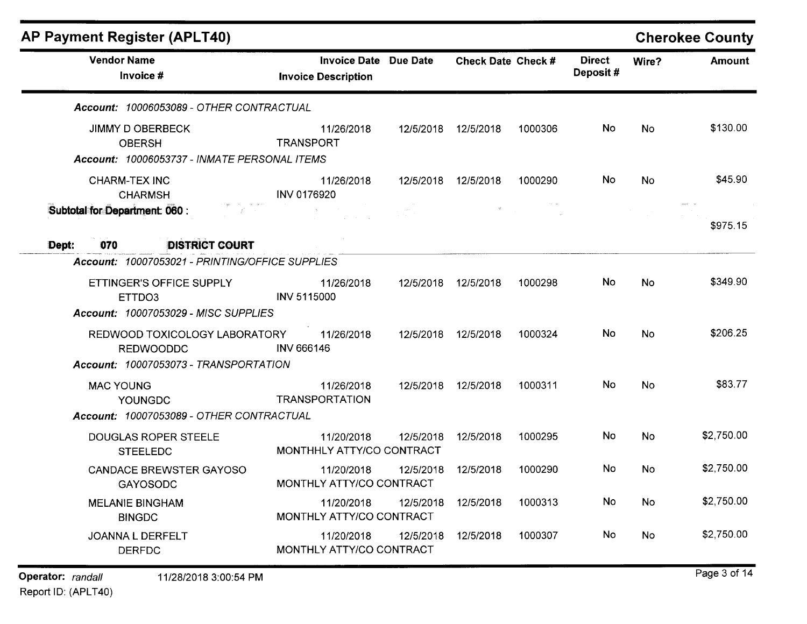| <b>Vendor Name</b>                                                                         | <b>Invoice Date Due Date</b>            |           | Check Date Check # |         | <b>Direct</b> | Wire?     | <b>Amount</b> |
|--------------------------------------------------------------------------------------------|-----------------------------------------|-----------|--------------------|---------|---------------|-----------|---------------|
| Invoice #                                                                                  | <b>Invoice Description</b>              |           |                    |         | Deposit#      |           |               |
| Account: 10006053089 - OTHER CONTRACTUAL                                                   |                                         |           |                    |         |               |           |               |
| <b>JIMMY D OBERBECK</b><br><b>OBERSH</b><br>Account: 10006053737 - INMATE PERSONAL ITEMS   | 11/26/2018<br><b>TRANSPORT</b>          | 12/5/2018 | 12/5/2018          | 1000306 | No            | <b>No</b> | \$130.00      |
| <b>CHARM-TEX INC</b><br><b>CHARMSH</b>                                                     | 11/26/2018<br>INV 0176920               | 12/5/2018 | 12/5/2018          | 1000290 | No.           | <b>No</b> | \$45.90       |
| Subtotal for Department: 060 :<br>To a series                                              |                                         |           |                    |         |               |           | \$975.15      |
| <b>DISTRICT COURT</b><br>Dept:<br>070<br>Account: 10007053021 - PRINTING/OFFICE SUPPLIES   |                                         |           |                    |         |               |           |               |
| ETTINGER'S OFFICE SUPPLY<br>ETTDO3<br><b>Account: 10007053029 - MISC SUPPLIES</b>          | 11/26/2018<br>INV 5115000               | 12/5/2018 | 12/5/2018          | 1000298 | No.           | <b>No</b> | \$349.90      |
| REDWOOD TOXICOLOGY LABORATORY<br><b>REDWOODDC</b><br>Account: 10007053073 - TRANSPORTATION | 11/26/2018<br><b>INV 666146</b>         | 12/5/2018 | 12/5/2018          | 1000324 | No.           | No        | \$206.25      |
| <b>MAC YOUNG</b><br><b>YOUNGDC</b><br>Account: 10007053089 - OTHER CONTRACTUAL             | 11/26/2018<br><b>TRANSPORTATION</b>     | 12/5/2018 | 12/5/2018          | 1000311 | No            | No        | \$83.77       |
| <b>DOUGLAS ROPER STEELE</b><br><b>STEELEDC</b>                                             | 11/20/2018<br>MONTHHLY ATTY/CO CONTRACT | 12/5/2018 | 12/5/2018          | 1000295 | No            | <b>No</b> | \$2,750.00    |
| <b>CANDACE BREWSTER GAYOSO</b><br><b>GAYOSODC</b>                                          | 11/20/2018<br>MONTHLY ATTY/CO CONTRACT  | 12/5/2018 | 12/5/2018          | 1000290 | No.           | No        | \$2,750.00    |
| <b>MELANIE BINGHAM</b><br><b>BINGDC</b>                                                    | 11/20/2018<br>MONTHLY ATTY/CO CONTRACT  | 12/5/2018 | 12/5/2018          | 1000313 | No            | No        | \$2,750.00    |
| JOANNA L DERFELT<br><b>DERFDC</b>                                                          | 11/20/2018<br>MONTHLY ATTY/CO CONTRACT  | 12/5/2018 | 12/5/2018          | 1000307 | No            | No        | \$2,750.00    |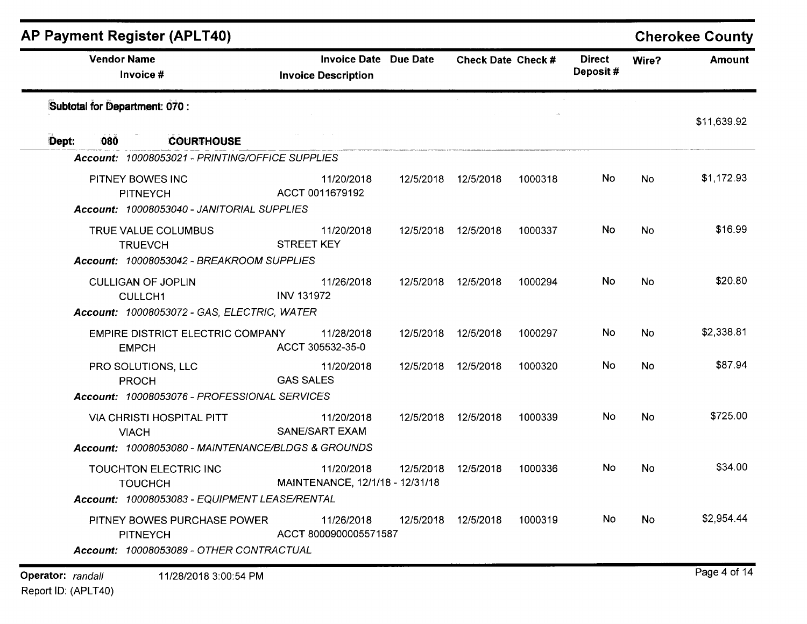| <b>AP Payment Register (APLT40)</b>                                                |                                                            |           |                           |         |                           |           | <b>Cherokee County</b> |
|------------------------------------------------------------------------------------|------------------------------------------------------------|-----------|---------------------------|---------|---------------------------|-----------|------------------------|
| <b>Vendor Name</b><br>Invoice #                                                    | <b>Invoice Date Due Date</b><br><b>Invoice Description</b> |           | <b>Check Date Check #</b> |         | <b>Direct</b><br>Deposit# | Wire?     | <b>Amount</b>          |
| Subtotal for Department: 070 :                                                     |                                                            |           |                           |         |                           |           | \$11,639.92            |
| <b>COURTHOUSE</b><br>Dept:<br>080                                                  |                                                            |           |                           |         |                           |           |                        |
| Account: 10008053021 - PRINTING/OFFICE SUPPLIES                                    |                                                            |           |                           |         |                           |           |                        |
| PITNEY BOWES INC<br><b>PITNEYCH</b>                                                | 11/20/2018<br>ACCT 0011679192                              | 12/5/2018 | 12/5/2018                 | 1000318 | No                        | No.       | \$1,172.93             |
| Account: 10008053040 - JANITORIAL SUPPLIES                                         |                                                            |           |                           |         |                           |           |                        |
| TRUE VALUE COLUMBUS<br><b>TRUEVCH</b><br>Account: 10008053042 - BREAKROOM SUPPLIES | 11/20/2018<br><b>STREET KEY</b>                            | 12/5/2018 | 12/5/2018                 | 1000337 | No.                       | <b>No</b> | \$16.99                |
|                                                                                    |                                                            |           |                           |         |                           |           |                        |
| <b>CULLIGAN OF JOPLIN</b><br><b>CULLCH1</b>                                        | 11/26/2018<br><b>INV 131972</b>                            | 12/5/2018 | 12/5/2018                 | 1000294 | No.                       | No        | \$20.80                |
| Account: 10008053072 - GAS, ELECTRIC, WATER                                        |                                                            |           |                           |         |                           |           |                        |
| <b>EMPIRE DISTRICT ELECTRIC COMPANY</b><br><b>EMPCH</b>                            | 11/28/2018<br>ACCT 305532-35-0                             | 12/5/2018 | 12/5/2018                 | 1000297 | No                        | <b>No</b> | \$2,338.81             |
| PRO SOLUTIONS, LLC<br><b>PROCH</b>                                                 | 11/20/2018<br><b>GAS SALES</b>                             | 12/5/2018 | 12/5/2018                 | 1000320 | No                        | <b>No</b> | \$87.94                |
| Account: 10008053076 - PROFESSIONAL SERVICES                                       |                                                            |           |                           |         |                           |           |                        |
| <b>VIA CHRISTI HOSPITAL PITT</b><br><b>VIACH</b>                                   | 11/20/2018<br><b>SANE/SART EXAM</b>                        | 12/5/2018 | 12/5/2018                 | 1000339 | No                        | <b>No</b> | \$725.00               |
| Account: 10008053080 - MAINTENANCE/BLDGS & GROUNDS                                 |                                                            |           |                           |         |                           |           |                        |
| TOUCHTON ELECTRIC INC<br><b>TOUCHCH</b>                                            | 11/20/2018<br>MAINTENANCE, 12/1/18 - 12/31/18              | 12/5/2018 | 12/5/2018                 | 1000336 | No                        | No        | \$34.00                |
| Account: 10008053083 - EQUIPMENT LEASE/RENTAL                                      |                                                            |           |                           |         |                           |           |                        |
| PITNEY BOWES PURCHASE POWER<br><b>PITNEYCH</b>                                     | 11/26/2018<br>ACCT 8000900005571587                        |           | 12/5/2018 12/5/2018       | 1000319 | No                        | No        | \$2,954.44             |
| Account: 10008053089 - OTHER CONTRACTUAL                                           |                                                            |           |                           |         |                           |           |                        |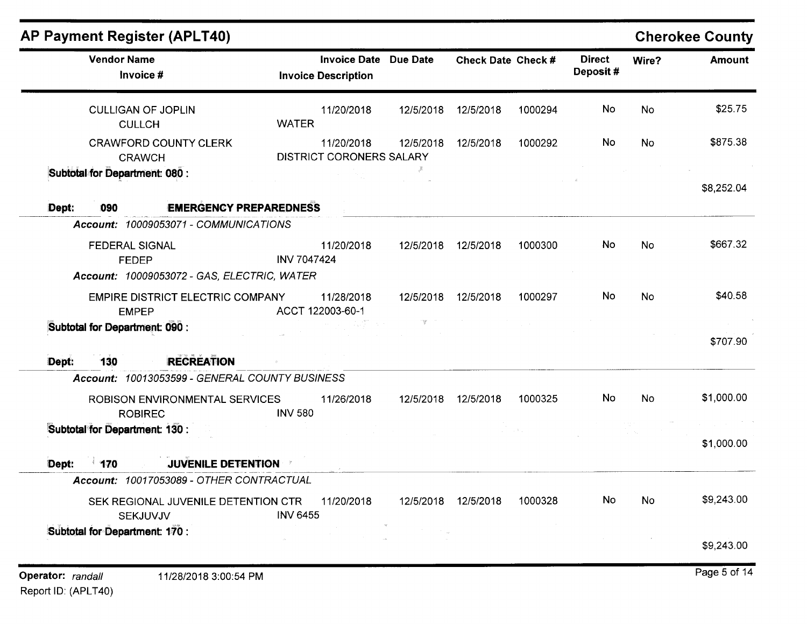| <b>AP Payment Register (APLT40)</b>                     |                                                            |           |                    |         |                           |           | <b>Cherokee County</b> |
|---------------------------------------------------------|------------------------------------------------------------|-----------|--------------------|---------|---------------------------|-----------|------------------------|
| <b>Vendor Name</b><br>Invoice #                         | <b>Invoice Date Due Date</b><br><b>Invoice Description</b> |           | Check Date Check # |         | <b>Direct</b><br>Deposit# | Wire?     | <b>Amount</b>          |
| <b>CULLIGAN OF JOPLIN</b><br><b>CULLCH</b>              | 11/20/2018<br><b>WATER</b>                                 | 12/5/2018 | 12/5/2018          | 1000294 | No                        | <b>No</b> | \$25.75                |
| <b>CRAWFORD COUNTY CLERK</b><br><b>CRAWCH</b>           | 11/20/2018<br>DISTRICT CORONERS SALARY                     | 12/5/2018 | 12/5/2018          | 1000292 | No                        | <b>No</b> | \$875.38               |
| Subtotal for Department: 080 :                          |                                                            |           |                    |         |                           |           | \$8,252.04             |
| Dept:<br><b>EMERGENCY PREPAREDNESS</b><br>090           |                                                            |           |                    |         |                           |           |                        |
| Account: 10009053071 - COMMUNICATIONS                   |                                                            |           |                    |         |                           |           |                        |
| <b>FEDERAL SIGNAL</b><br><b>FEDEP</b>                   | 11/20/2018<br><b>INV 7047424</b>                           | 12/5/2018 | 12/5/2018          | 1000300 | No.                       | No        | \$667.32               |
| Account: 10009053072 - GAS, ELECTRIC, WATER             |                                                            |           |                    |         |                           |           |                        |
| <b>EMPIRE DISTRICT ELECTRIC COMPANY</b><br><b>EMPEP</b> | 11/28/2018<br>ACCT 122003-60-1                             | 12/5/2018 | 12/5/2018          | 1000297 | No                        | No        | \$40.58                |
| Subtotal for Department: 090 :                          |                                                            |           |                    |         |                           |           | \$707.90               |
| 130<br><b>RECREATION</b><br>Dept:                       |                                                            |           |                    |         |                           |           |                        |
| Account: 10013053599 - GENERAL COUNTY BUSINESS          |                                                            |           |                    |         |                           |           |                        |
| ROBISON ENVIRONMENTAL SERVICES<br><b>ROBIREC</b>        | 11/26/2018<br><b>INV 580</b>                               | 12/5/2018 | 12/5/2018          | 1000325 | No                        | <b>No</b> | \$1,000.00             |
| Subtotal for Department: 130 :                          |                                                            |           |                    |         |                           |           | \$1,000.00             |
| $-170$<br>Dept:<br><b>JUVENILE DETENTION</b>            |                                                            |           |                    |         |                           |           |                        |
| Account: 10017053089 - OTHER CONTRACTUAL                |                                                            |           |                    |         |                           |           |                        |
| SEK REGIONAL JUVENILE DETENTION CTR<br><b>SEKJUVJV</b>  | 11/20/2018<br><b>INV 6455</b>                              | 12/5/2018 | 12/5/2018          | 1000328 | No.                       | No        | \$9,243.00             |
| Subtotal for Department: 170 :                          |                                                            |           |                    |         |                           |           | \$9,243.00             |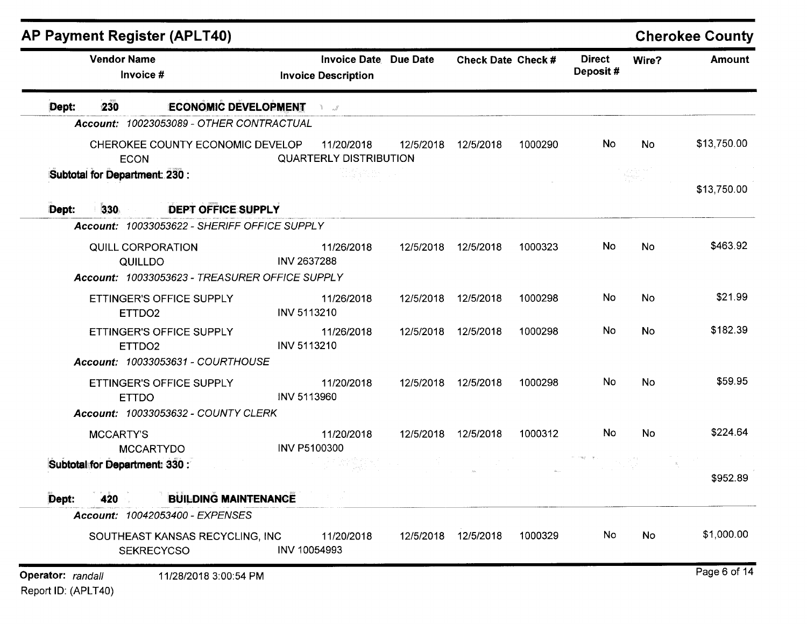|                   | <b>Vendor Name</b><br>Invoice #     |                                                      | <b>Invoice Date Due Date</b><br><b>Invoice Description</b> |           | Check Date Check #  |         | <b>Direct</b><br>Deposit# | Wire?                                                                                                | <b>Amount</b> |
|-------------------|-------------------------------------|------------------------------------------------------|------------------------------------------------------------|-----------|---------------------|---------|---------------------------|------------------------------------------------------------------------------------------------------|---------------|
| Dept:             | 230                                 | <b>ECONOMIC DEVELOPMENT</b>                          |                                                            |           |                     |         |                           |                                                                                                      |               |
|                   |                                     | Account: 10023053089 - OTHER CONTRACTUAL             |                                                            |           |                     |         |                           |                                                                                                      |               |
|                   | <b>ECON</b>                         | CHEROKEE COUNTY ECONOMIC DEVELOP                     | 11/20/2018<br><b>QUARTERLY DISTRIBUTION</b>                | 12/5/2018 | 12/5/2018           | 1000290 | No                        | No                                                                                                   | \$13,750.00   |
|                   | Subtotal for Department: 230 :      |                                                      |                                                            |           |                     |         |                           | $\label{eq:2} \frac{f_{\mu\nu}^{\mu}f_{\nu\rho}^{\nu}}{2\pi\mu_{\mu\nu}^{\mu}f_{\nu\rho}^{\nu}}\, ,$ | \$13,750.00   |
| Dept:             | 330                                 | DEPT OFFICE SUPPLY                                   |                                                            |           |                     |         |                           |                                                                                                      |               |
|                   |                                     | Account: 10033053622 - SHERIFF OFFICE SUPPLY         |                                                            |           |                     |         |                           |                                                                                                      |               |
|                   | <b>QUILL CORPORATION</b><br>QUILLDO | Account: 10033053623 - TREASURER OFFICE SUPPLY       | 11/26/2018<br><b>INV 2637288</b>                           | 12/5/2018 | 12/5/2018           | 1000323 | No                        | No                                                                                                   | \$463.92      |
|                   |                                     |                                                      |                                                            |           |                     |         | No                        |                                                                                                      | \$21.99       |
|                   | ETTDO <sub>2</sub>                  | ETTINGER'S OFFICE SUPPLY                             | 11/26/2018<br><b>INV 5113210</b>                           | 12/5/2018 | 12/5/2018           | 1000298 |                           | No                                                                                                   |               |
|                   | ETTDO <sub>2</sub>                  | ETTINGER'S OFFICE SUPPLY                             | 11/26/2018<br><b>INV 5113210</b>                           | 12/5/2018 | 12/5/2018           | 1000298 | No                        | <b>No</b>                                                                                            | \$182.39      |
|                   |                                     | Account: 10033053631 - COURTHOUSE                    |                                                            |           |                     |         |                           |                                                                                                      |               |
|                   | <b>ETTDO</b>                        | ETTINGER'S OFFICE SUPPLY                             | 11/20/2018<br>INV 5113960                                  | 12/5/2018 | 12/5/2018           | 1000298 | No                        | No                                                                                                   | \$59.95       |
|                   |                                     | <b>Account: 10033053632 - COUNTY CLERK</b>           |                                                            |           |                     |         |                           |                                                                                                      |               |
|                   | <b>MCCARTY'S</b>                    | <b>MCCARTYDO</b>                                     | 11/20/2018<br>INV P5100300                                 | 12/5/2018 | 12/5/2018           | 1000312 | No                        | No                                                                                                   | \$224.64      |
|                   | Subtotal for Department: 330 :      |                                                      |                                                            |           |                     |         |                           |                                                                                                      | \$952.89      |
| Dept:             | 420                                 | <b>BUILDING MAINTENANCE</b>                          |                                                            |           |                     |         |                           |                                                                                                      |               |
|                   |                                     | Account: 10042053400 - EXPENSES                      |                                                            |           |                     |         |                           |                                                                                                      |               |
|                   |                                     | SOUTHEAST KANSAS RECYCLING, INC<br><b>SEKRECYCSO</b> | 11/20/2018<br>INV 10054993                                 |           | 12/5/2018 12/5/2018 | 1000329 | No                        | No                                                                                                   | \$1,000.00    |
| Operator: randall |                                     | 11/28/2018 3:00:54 PM                                |                                                            |           |                     |         |                           |                                                                                                      | Page 6 of 14  |

Report ID: (APLT40)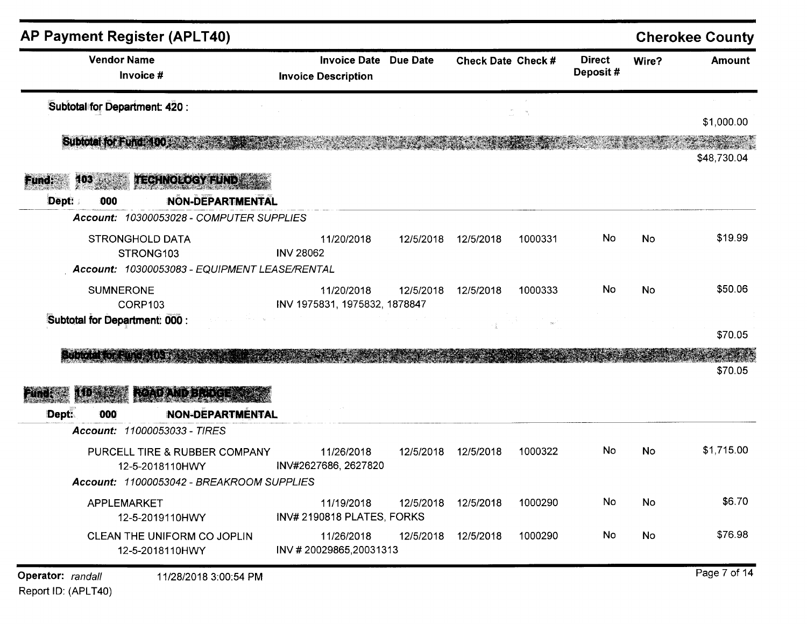| <b>AP Payment Register (APLT40)</b>                                                                                                       |                                                            |           |                           |                     |                           |           | <b>Cherokee County</b> |
|-------------------------------------------------------------------------------------------------------------------------------------------|------------------------------------------------------------|-----------|---------------------------|---------------------|---------------------------|-----------|------------------------|
| <b>Vendor Name</b><br>Invoice #                                                                                                           | <b>Invoice Date Due Date</b><br><b>Invoice Description</b> |           | <b>Check Date Check #</b> |                     | <b>Direct</b><br>Deposit# | Wire?     | <b>Amount</b>          |
| Subtotal for Department: 420 :                                                                                                            |                                                            |           |                           | $\mathcal{B}_{\pm}$ |                           |           | \$1,000.00             |
| Subtotal for Fund: 100                                                                                                                    |                                                            |           |                           |                     |                           |           | \$48,730.04            |
| <b>TECHNOLOGY FUND</b><br>$103$ $^{+103}$<br>Fund:<br><b>NON-DEPARTMENTAL</b><br>Dept:<br>000<br>Account: 10300053028 - COMPUTER SUPPLIES |                                                            |           |                           |                     |                           |           |                        |
| <b>STRONGHOLD DATA</b><br>STRONG103<br>Account: 10300053083 - EQUIPMENT LEASE/RENTAL                                                      | 11/20/2018<br><b>INV 28062</b>                             | 12/5/2018 | 12/5/2018                 | 1000331             | No                        | <b>No</b> | \$19.99                |
| <b>SUMNERONE</b><br>CORP103                                                                                                               | 11/20/2018<br>INV 1975831, 1975832, 1878847                | 12/5/2018 | 12/5/2018                 | 1000333             | No                        | <b>No</b> | \$50.06                |
| Subtotal for Department: 000 :                                                                                                            |                                                            |           |                           |                     |                           |           | \$70.05                |
| <b>SHOOT LOAD THE TIME</b><br><b>READAND BLOCK</b>                                                                                        |                                                            |           |                           |                     |                           |           | \$70.05                |
| <b>NON-DEPARTMENTAL</b><br>Dept:<br>000                                                                                                   |                                                            |           |                           |                     |                           |           |                        |
| Account: 11000053033 - TIRES<br>PURCELL TIRE & RUBBER COMPANY<br>12-5-2018110HWY<br>Account: 11000053042 - BREAKROOM SUPPLIES             | 11/26/2018<br>INV#2627686, 2627820                         | 12/5/2018 | 12/5/2018                 | 1000322             | <b>No</b>                 | <b>No</b> | \$1,715.00             |
| APPLEMARKET<br>12-5-2019110HWY                                                                                                            | 11/19/2018<br>INV# 2190818 PLATES, FORKS                   | 12/5/2018 | 12/5/2018                 | 1000290             | No                        | No        | \$6.70                 |
| CLEAN THE UNIFORM CO JOPLIN<br>12-5-2018110HWY                                                                                            | 11/26/2018<br>INV #20029865,20031313                       | 12/5/2018 | 12/5/2018                 | 1000290             | No                        | No        | \$76.98                |
|                                                                                                                                           |                                                            |           |                           |                     |                           |           | Doge 7 of 14           |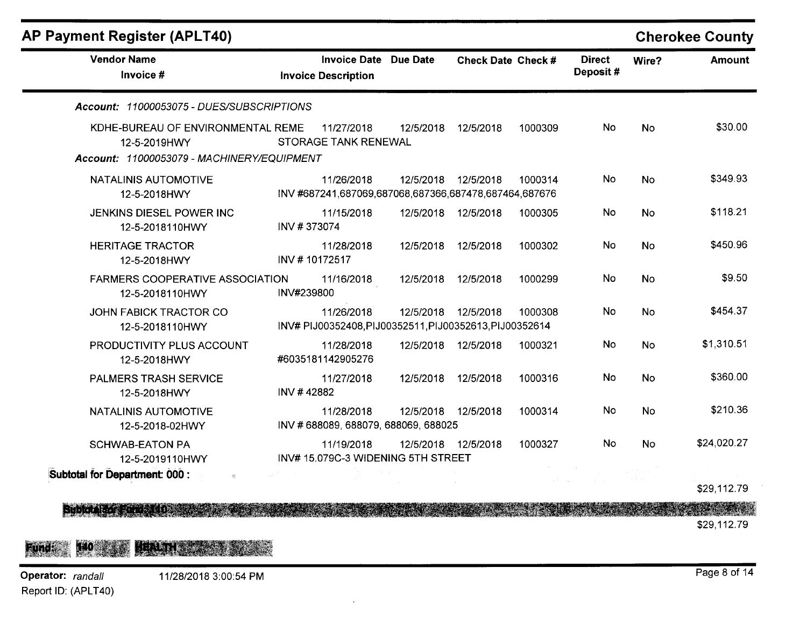| <b>AP Payment Register (APLT40)</b>                                                             |                                                                       |           |                     |         |                           |           | <b>Cherokee County</b> |
|-------------------------------------------------------------------------------------------------|-----------------------------------------------------------------------|-----------|---------------------|---------|---------------------------|-----------|------------------------|
| <b>Vendor Name</b><br>Invoice #                                                                 | <b>Invoice Date</b><br><b>Invoice Description</b>                     | Due Date  | Check Date Check #  |         | <b>Direct</b><br>Deposit# | Wire?     | <b>Amount</b>          |
| Account: 11000053075 - DUES/SUBSCRIPTIONS                                                       |                                                                       |           |                     |         |                           |           |                        |
| KDHE-BUREAU OF ENVIRONMENTAL REME<br>12-5-2019HWY<br>Account: 11000053079 - MACHINERY/EQUIPMENT | 11/27/2018<br><b>STORAGE TANK RENEWAL</b>                             | 12/5/2018 | 12/5/2018           | 1000309 | No.                       | <b>No</b> | \$30.00                |
| NATALINIS AUTOMOTIVE<br>12-5-2018HWY                                                            | 11/26/2018<br>INV #687241,687069,687068,687366,687478,687464,687676   | 12/5/2018 | 12/5/2018           | 1000314 | No                        | <b>No</b> | \$349.93               |
| <b>JENKINS DIESEL POWER INC</b><br>12-5-2018110HWY                                              | 11/15/2018<br>INV #373074                                             |           | 12/5/2018 12/5/2018 | 1000305 | No                        | No        | \$118.21               |
| <b>HERITAGE TRACTOR</b><br>12-5-2018HWY                                                         | 11/28/2018<br>INV #10172517                                           | 12/5/2018 | 12/5/2018           | 1000302 | No                        | <b>No</b> | \$450.96               |
| <b>FARMERS COOPERATIVE ASSOCIATION</b><br>12-5-2018110HWY                                       | 11/16/2018<br>INV#239800                                              | 12/5/2018 | 12/5/2018           | 1000299 | No                        | <b>No</b> | \$9.50                 |
| <b>JOHN FABICK TRACTOR CO</b><br>12-5-2018110HWY                                                | 11/26/2018<br>INV# PIJ00352408, PIJ00352511, PIJ00352613, PIJ00352614 |           | 12/5/2018 12/5/2018 | 1000308 | No                        | No        | \$454.37               |
| PRODUCTIVITY PLUS ACCOUNT<br>12-5-2018HWY                                                       | 11/28/2018<br>#6035181142905276                                       | 12/5/2018 | 12/5/2018           | 1000321 | No                        | No        | \$1,310.51             |
| PALMERS TRASH SERVICE<br>12-5-2018HWY                                                           | 11/27/2018<br>INV #42882                                              | 12/5/2018 | 12/5/2018           | 1000316 | No                        | No        | \$360.00               |
| <b>NATALINIS AUTOMOTIVE</b><br>12-5-2018-02HWY                                                  | 11/28/2018<br>INV # 688089, 688079, 688069, 688025                    | 12/5/2018 | 12/5/2018           | 1000314 | No                        | No        | \$210.36               |
| <b>SCHWAB-EATON PA</b><br>12-5-2019110HWY                                                       | 11/19/2018<br>INV# 15.079C-3 WIDENING 5TH STREET                      |           | 12/5/2018 12/5/2018 | 1000327 | No                        | No        | \$24,020.27            |
| Subtotal for Department: 000 :                                                                  |                                                                       |           |                     |         |                           |           |                        |

\$29,112.79

• \$29,112.79

## Fund: 140 **FOR THE REAL**

Operator: randall Report ID: (APLT40)

**Siberal**: 6

Page 8 of 14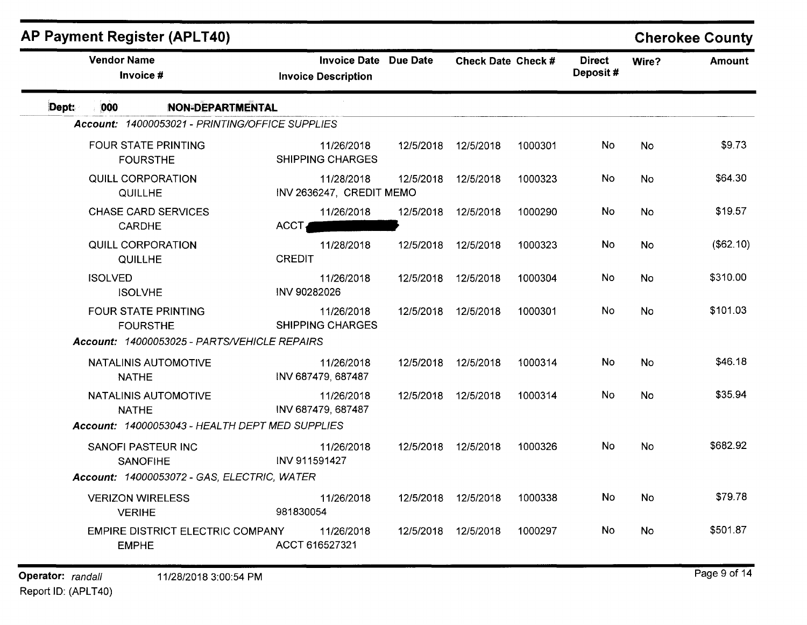| <b>AP Payment Register (APLT40)</b>      |                                                 |                |                                                     |           |                      |         |                           |           | <b>Cherokee County</b> |
|------------------------------------------|-------------------------------------------------|----------------|-----------------------------------------------------|-----------|----------------------|---------|---------------------------|-----------|------------------------|
| <b>Vendor Name</b><br>Invoice #          |                                                 |                | Invoice Date Due Date<br><b>Invoice Description</b> |           | Check Date Check #   |         | <b>Direct</b><br>Deposit# | Wire?     | <b>Amount</b>          |
| Dept:<br>000                             | <b>NON-DEPARTMENTAL</b>                         |                |                                                     |           |                      |         |                           |           |                        |
|                                          | Account: 14000053021 - PRINTING/OFFICE SUPPLIES |                |                                                     |           |                      |         |                           |           |                        |
|                                          | <b>FOUR STATE PRINTING</b><br><b>FOURSTHE</b>   |                | 11/26/2018<br><b>SHIPPING CHARGES</b>               | 12/5/2018 | 12/5/2018            | 1000301 | No                        | No        | \$9.73                 |
| QUILLHE                                  | QUILL CORPORATION                               |                | 11/28/2018<br>INV 2636247, CREDIT MEMO              | 12/5/2018 | 12/5/2018            | 1000323 | No                        | No        | \$64.30                |
| CARDHE                                   | <b>CHASE CARD SERVICES</b>                      | ACCT           | 11/26/2018                                          | 12/5/2018 | 12/5/2018            | 1000290 | No                        | <b>No</b> | \$19.57                |
| <b>QUILL CORPORATION</b><br>QUILLHE      |                                                 | <b>CREDIT</b>  | 11/28/2018                                          | 12/5/2018 | 12/5/2018            | 1000323 | No                        | <b>No</b> | (\$62.10)              |
| <b>ISOLVED</b><br><b>ISOLVHE</b>         |                                                 | INV 90282026   | 11/26/2018                                          |           | 12/5/2018  12/5/2018 | 1000304 | No                        | No        | \$310.00               |
|                                          | <b>FOUR STATE PRINTING</b><br><b>FOURSTHE</b>   |                | 11/26/2018<br><b>SHIPPING CHARGES</b>               |           | 12/5/2018 12/5/2018  | 1000301 | No                        | <b>No</b> | \$101.03               |
|                                          | Account: 14000053025 - PARTS/VEHICLE REPAIRS    |                |                                                     |           |                      |         |                           |           |                        |
| <b>NATHE</b>                             | NATALINIS AUTOMOTIVE                            |                | 11/26/2018<br>INV 687479, 687487                    | 12/5/2018 | 12/5/2018            | 1000314 | No                        | <b>No</b> | \$46.18                |
| <b>NATHE</b>                             | NATALINIS AUTOMOTIVE                            |                | 11/26/2018<br>INV 687479, 687487                    |           | 12/5/2018 12/5/2018  | 1000314 | No                        | <b>No</b> | \$35.94                |
|                                          | Account: 14000053043 - HEALTH DEPT MED SUPPLIES |                |                                                     |           |                      |         |                           |           |                        |
| <b>SANOFI PASTEUR INC</b>                | <b>SANOFIHE</b>                                 | INV 911591427  | 11/26/2018                                          |           | 12/5/2018 12/5/2018  | 1000326 | No.                       | <b>No</b> | \$682.92               |
|                                          | Account: 14000053072 - GAS, ELECTRIC, WATER     |                |                                                     |           |                      |         |                           |           |                        |
| <b>VERIZON WIRELESS</b><br><b>VERIHE</b> |                                                 | 981830054      | 11/26/2018                                          |           | 12/5/2018 12/5/2018  | 1000338 | No                        | No        | \$79.78                |
| <b>EMPHE</b>                             | EMPIRE DISTRICT ELECTRIC COMPANY                | ACCT 616527321 | 11/26/2018                                          | 12/5/2018 | 12/5/2018            | 1000297 | <b>No</b>                 | <b>No</b> | \$501.87               |
|                                          |                                                 |                |                                                     |           |                      |         |                           |           |                        |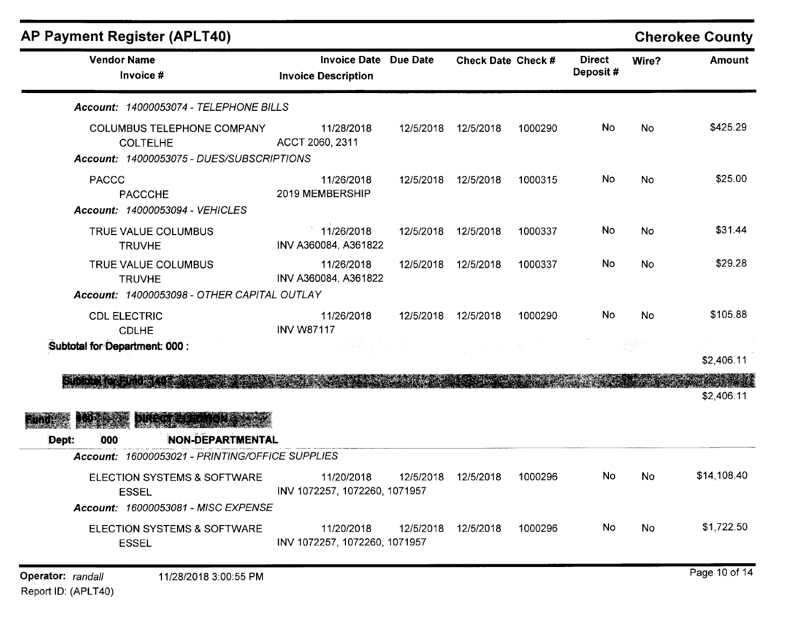|       | <b>AP Payment Register (APLT40)</b>                                                                                                              |                                                            |           |                    |         |                           |                 | <b>Cherokee County</b> |
|-------|--------------------------------------------------------------------------------------------------------------------------------------------------|------------------------------------------------------------|-----------|--------------------|---------|---------------------------|-----------------|------------------------|
|       | <b>Vendor Name</b><br>Invoice #                                                                                                                  | <b>Invoice Date Due Date</b><br><b>Invoice Description</b> |           | Check Date Check # |         | <b>Direct</b><br>Deposit# | Wire?           | <b>Amount</b>          |
|       | Account: 14000053074 - TELEPHONE BILLS                                                                                                           |                                                            |           |                    |         |                           |                 |                        |
|       | COLUMBUS TELEPHONE COMPANY<br><b>COLTELHE</b><br>Account: 14000053075 - DUES/SUBSCRIPTIONS                                                       | 11/28/2018<br>ACCT 2060, 2311                              | 12/5/2018 | 12/5/2018          | 1000290 | <b>No</b>                 | No              | \$425.29               |
|       | <b>PACCC</b><br><b>PACCCHE</b><br>Account: 14000053094 - VEHICLES                                                                                | 11/26/2018<br>2019 MEMBERSHIP                              | 12/5/2018 | 12/5/2018          | 1000315 | No                        | <b>No</b>       | \$25.00                |
|       | TRUE VALUE COLUMBUS<br><b>TRUVHE</b>                                                                                                             | 11/26/2018<br>INV A360084, A361822                         | 12/5/2018 | 12/5/2018          | 1000337 | No                        | <b>No</b>       | \$31.44                |
|       | TRUE VALUE COLUMBUS<br><b>TRUVHE</b><br>Account: 14000053098 - OTHER CAPITAL OUTLAY                                                              | 11/26/2018<br>INV A360084, A361822                         | 12/5/2018 | 12/5/2018          | 1000337 | No                        | <b>No</b>       | \$29.28                |
|       | <b>CDL ELECTRIC</b><br><b>CDLHE</b><br>Subtotal for Department: 000 :                                                                            | 11/26/2018<br><b>INV W87117</b>                            | 12/5/2018 | 12/5/2018          | 1000290 | No                        | No<br>tilijke n | \$105.88               |
|       | <b>Shows and the State of</b>                                                                                                                    |                                                            |           |                    |         |                           |                 | \$2,406.11             |
| Dept: | <b>Distance of the Contract of the Contract of the Contract of the Contract of the Contract of the Contract of th</b><br>NON-DEPARTMENTAL<br>000 |                                                            |           |                    |         |                           |                 | \$2,406.11             |
|       | Account: 16000053021 - PRINTING/OFFICE SUPPLIES                                                                                                  |                                                            |           |                    |         |                           |                 |                        |
|       | ELECTION SYSTEMS & SOFTWARE<br><b>ESSEL</b><br>Account: 16000053081 - MISC EXPENSE                                                               | 11/20/2018<br>INV 1072257, 1072260, 1071957                | 12/5/2018 | 12/5/2018          | 1000296 | No                        | <b>No</b>       | \$14,108.40            |
|       | ELECTION SYSTEMS & SOFTWARE<br><b>ESSEL</b>                                                                                                      | 11/20/2018<br>INV 1072257, 1072260, 1071957                | 12/5/2018 | 12/5/2018          | 1000296 | No.                       | No.             | \$1,722.50             |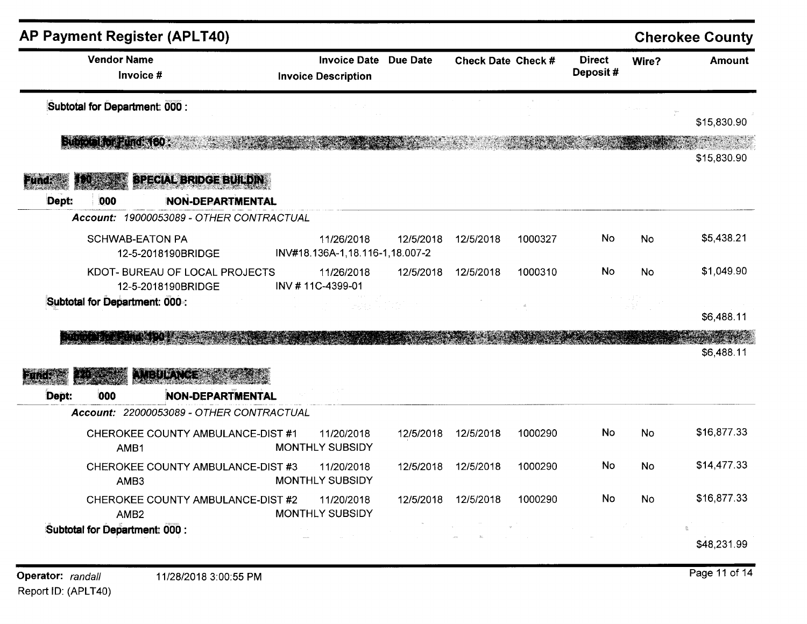| <b>AP Payment Register (APLT40)</b>                          |                                                            |           |                    |         |                           |           | <b>Cherokee County</b> |
|--------------------------------------------------------------|------------------------------------------------------------|-----------|--------------------|---------|---------------------------|-----------|------------------------|
| <b>Vendor Name</b><br>Invoice #                              | <b>Invoice Date Due Date</b><br><b>Invoice Description</b> |           | Check Date Check # |         | <b>Direct</b><br>Deposit# | Wire?     | <b>Amount</b>          |
| Subtotal for Department: 000 :                               |                                                            |           |                    |         |                           |           |                        |
| <b>Subjeta FortFund 160 (2000)</b>                           |                                                            |           |                    |         |                           |           | \$15,830.90            |
|                                                              |                                                            |           |                    |         |                           |           | \$15,830.90            |
| <b>SPECIAL BRIDGE BUILDING</b><br>anta                       |                                                            |           |                    |         |                           |           |                        |
| Dept:<br>000<br><b>NON-DEPARTMENTAL</b>                      |                                                            |           |                    |         |                           |           |                        |
| Account: 19000053089 - OTHER CONTRACTUAL                     |                                                            |           |                    |         |                           |           |                        |
| <b>SCHWAB-EATON PA</b><br>12-5-2018190BRIDGE                 | 11/26/2018<br>INV#18.136A-1,18.116-1,18.007-2              | 12/5/2018 | 12/5/2018          | 1000327 | No                        | <b>No</b> | \$5,438.21             |
| KDOT- BUREAU OF LOCAL PROJECTS<br>12-5-2018190BRIDGE         | 11/26/2018<br>INV #11C-4399-01                             | 12/5/2018 | 12/5/2018          | 1000310 | No                        | No.       | \$1,049.90             |
| Subtotal for Department: 000 .:                              |                                                            |           |                    |         |                           |           | \$6,488.11             |
|                                                              |                                                            |           |                    |         |                           |           | \$6,488.11             |
| <b>AMEULANCES</b><br>000<br><b>NON-DEPARTMENTAL</b><br>Dept: |                                                            |           |                    |         |                           |           |                        |
| Account: 22000053089 - OTHER CONTRACTUAL                     |                                                            |           |                    |         |                           |           |                        |
| CHEROKEE COUNTY AMBULANCE-DIST #1<br>AMB1                    | 11/20/2018<br><b>MONTHLY SUBSIDY</b>                       | 12/5/2018 | 12/5/2018          | 1000290 | No                        | <b>No</b> | \$16,877.33            |
| CHEROKEE COUNTY AMBULANCE-DIST #3<br>AMB3                    | 11/20/2018<br>MONTHLY SUBSIDY                              | 12/5/2018 | 12/5/2018          | 1000290 | No                        | <b>No</b> | \$14,477.33            |
| CHEROKEE COUNTY AMBULANCE-DIST #2<br>AMB <sub>2</sub>        | 11/20/2018<br>MONTHLY SUBSIDY                              | 12/5/2018 | 12/5/2018          | 1000290 | No                        | No.       | \$16,877.33            |
| Subtotal for Department: 000 :                               |                                                            |           |                    |         |                           |           | \$48,231.99            |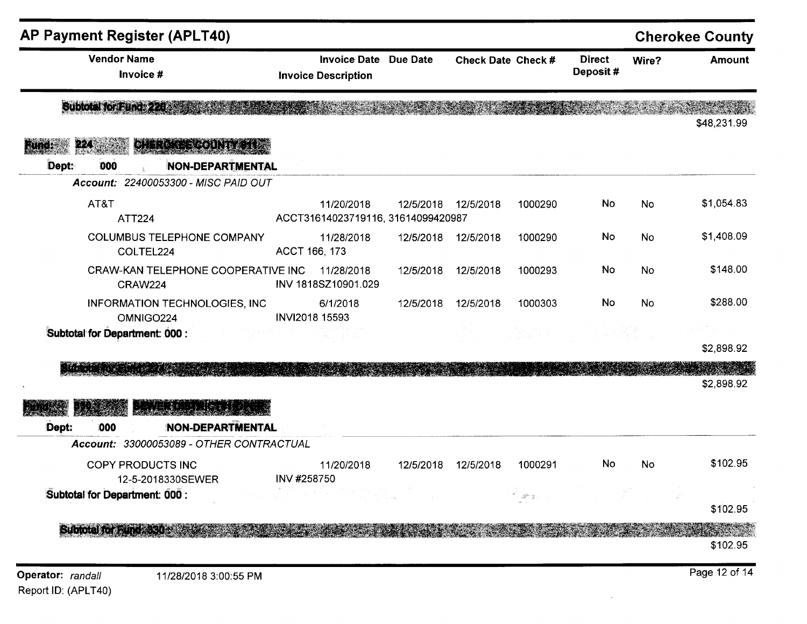| Subtotal for Fund: 220<br><b>CHEROKEE COUNTY 612</b><br>224<br>Web<br>Dept:<br>NON-DEPARTMENTAL<br>000<br>Account: 22400053300 - MISC PAID OUT<br>AT&T<br>No<br>No<br>11/20/2018<br>12/5/2018<br>12/5/2018<br>1000290<br>ACCT31614023719116, 31614099420987<br><b>ATT224</b><br>No<br><b>COLUMBUS TELEPHONE COMPANY</b><br>No<br>11/28/2018<br>12/5/2018<br>12/5/2018<br>1000290<br>ACCT 166, 173<br>COLTEL224<br>No<br>No<br>CRAW-KAN TELEPHONE COOPERATIVE INC<br>11/28/2018<br>12/5/2018<br>12/5/2018<br>1000293<br>INV 1818SZ10901.029<br><b>CRAW224</b><br>No<br>No<br>INFORMATION TECHNOLOGIES, INC<br>6/1/2018<br>12/5/2018<br>12/5/2018<br>1000303<br>INVI2018 15593<br>OMNIGO224<br>$\frac{1}{\sqrt{2}}\sum_{i=1}^n\frac{1}{\sqrt{2}}\left(\frac{1}{\sqrt{2}}\right)^2\frac{1}{\sqrt{2}}\left(\frac{1}{\sqrt{2}}\right)^2.$<br>그는 집안<br>Subtotal for Department: 000 :<br>관리 발생의<br>ar atas a matatang pang<br>$\{23,3,6\}$ , $\{2\}$ , $\{4,6,8\}$<br><b>NON-DEPARTMENTAL</b><br>Dept:<br>000<br>Account: 33000053089 - OTHER CONTRACTUAL<br>No<br><b>COPY PRODUCTS INC</b><br>12/5/2018<br>1000291<br>No<br>11/20/2018<br>12/5/2018<br>INV #258750<br>12-5-2018330SEWER<br>Subtotal for Department: 000 :<br>$-38^{\circ}$ (2) | <b>AP Payment Register (APLT40)</b><br><b>Vendor Name</b><br>Invoice # | <b>Invoice Date Due Date</b><br><b>Invoice Description</b> | Check Date Check # | <b>Direct</b><br>Deposit# | Wire? | <b>Cherokee County</b><br><b>Amount</b> |
|-------------------------------------------------------------------------------------------------------------------------------------------------------------------------------------------------------------------------------------------------------------------------------------------------------------------------------------------------------------------------------------------------------------------------------------------------------------------------------------------------------------------------------------------------------------------------------------------------------------------------------------------------------------------------------------------------------------------------------------------------------------------------------------------------------------------------------------------------------------------------------------------------------------------------------------------------------------------------------------------------------------------------------------------------------------------------------------------------------------------------------------------------------------------------------------------------------------------------------------------|------------------------------------------------------------------------|------------------------------------------------------------|--------------------|---------------------------|-------|-----------------------------------------|
|                                                                                                                                                                                                                                                                                                                                                                                                                                                                                                                                                                                                                                                                                                                                                                                                                                                                                                                                                                                                                                                                                                                                                                                                                                           |                                                                        |                                                            |                    |                           |       | \$48,231.99                             |
|                                                                                                                                                                                                                                                                                                                                                                                                                                                                                                                                                                                                                                                                                                                                                                                                                                                                                                                                                                                                                                                                                                                                                                                                                                           |                                                                        |                                                            |                    |                           |       |                                         |
|                                                                                                                                                                                                                                                                                                                                                                                                                                                                                                                                                                                                                                                                                                                                                                                                                                                                                                                                                                                                                                                                                                                                                                                                                                           |                                                                        |                                                            |                    |                           |       |                                         |
|                                                                                                                                                                                                                                                                                                                                                                                                                                                                                                                                                                                                                                                                                                                                                                                                                                                                                                                                                                                                                                                                                                                                                                                                                                           |                                                                        |                                                            |                    |                           |       | \$1,054.83                              |
|                                                                                                                                                                                                                                                                                                                                                                                                                                                                                                                                                                                                                                                                                                                                                                                                                                                                                                                                                                                                                                                                                                                                                                                                                                           |                                                                        |                                                            |                    |                           |       | \$1,408.09                              |
|                                                                                                                                                                                                                                                                                                                                                                                                                                                                                                                                                                                                                                                                                                                                                                                                                                                                                                                                                                                                                                                                                                                                                                                                                                           |                                                                        |                                                            |                    |                           |       | \$148.00                                |
|                                                                                                                                                                                                                                                                                                                                                                                                                                                                                                                                                                                                                                                                                                                                                                                                                                                                                                                                                                                                                                                                                                                                                                                                                                           |                                                                        |                                                            |                    |                           |       | \$288.00                                |
|                                                                                                                                                                                                                                                                                                                                                                                                                                                                                                                                                                                                                                                                                                                                                                                                                                                                                                                                                                                                                                                                                                                                                                                                                                           |                                                                        |                                                            |                    |                           |       | \$2,898.92                              |
|                                                                                                                                                                                                                                                                                                                                                                                                                                                                                                                                                                                                                                                                                                                                                                                                                                                                                                                                                                                                                                                                                                                                                                                                                                           |                                                                        |                                                            |                    |                           |       | \$2,898.92                              |
|                                                                                                                                                                                                                                                                                                                                                                                                                                                                                                                                                                                                                                                                                                                                                                                                                                                                                                                                                                                                                                                                                                                                                                                                                                           |                                                                        |                                                            |                    |                           |       |                                         |
|                                                                                                                                                                                                                                                                                                                                                                                                                                                                                                                                                                                                                                                                                                                                                                                                                                                                                                                                                                                                                                                                                                                                                                                                                                           |                                                                        |                                                            |                    |                           |       |                                         |
|                                                                                                                                                                                                                                                                                                                                                                                                                                                                                                                                                                                                                                                                                                                                                                                                                                                                                                                                                                                                                                                                                                                                                                                                                                           |                                                                        |                                                            |                    |                           |       | \$102.95                                |
|                                                                                                                                                                                                                                                                                                                                                                                                                                                                                                                                                                                                                                                                                                                                                                                                                                                                                                                                                                                                                                                                                                                                                                                                                                           |                                                                        |                                                            |                    |                           |       |                                         |
|                                                                                                                                                                                                                                                                                                                                                                                                                                                                                                                                                                                                                                                                                                                                                                                                                                                                                                                                                                                                                                                                                                                                                                                                                                           |                                                                        |                                                            |                    |                           |       | \$102.95                                |
|                                                                                                                                                                                                                                                                                                                                                                                                                                                                                                                                                                                                                                                                                                                                                                                                                                                                                                                                                                                                                                                                                                                                                                                                                                           | <b>Subtain for Fand 30009</b>                                          |                                                            |                    |                           |       | \$102.95                                |